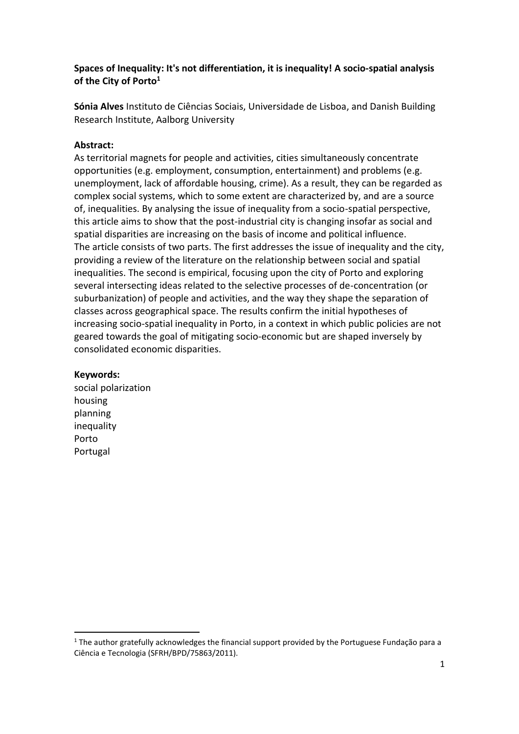### **Spaces of Inequality: It's not differentiation, it is inequality! A socio-spatial analysis of the City of Porto<sup>1</sup>**

**Sónia Alves** Instituto de Ciências Sociais, Universidade de Lisboa, and Danish Building Research Institute, Aalborg University

### **Abstract:**

As territorial magnets for people and activities, cities simultaneously concentrate opportunities (e.g. employment, consumption, entertainment) and problems (e.g. unemployment, lack of affordable housing, crime). As a result, they can be regarded as complex social systems, which to some extent are characterized by, and are a source of, inequalities. By analysing the issue of inequality from a socio-spatial perspective, this article aims to show that the post-industrial city is changing insofar as social and spatial disparities are increasing on the basis of income and political influence. The article consists of two parts. The first addresses the issue of inequality and the city, providing a review of the literature on the relationship between social and spatial inequalities. The second is empirical, focusing upon the city of Porto and exploring several intersecting ideas related to the selective processes of de-concentration (or suburbanization) of people and activities, and the way they shape the separation of classes across geographical space. The results confirm the initial hypotheses of increasing socio-spatial inequality in Porto, in a context in which public policies are not geared towards the goal of mitigating socio-economic but are shaped inversely by consolidated economic disparities.

#### **Keywords:**

1

social polarization housing planning inequality Porto Portugal

<sup>1</sup> The author gratefully acknowledges the financial support provided by the Portuguese Fundação para a Ciência e Tecnologia (SFRH/BPD/75863/2011).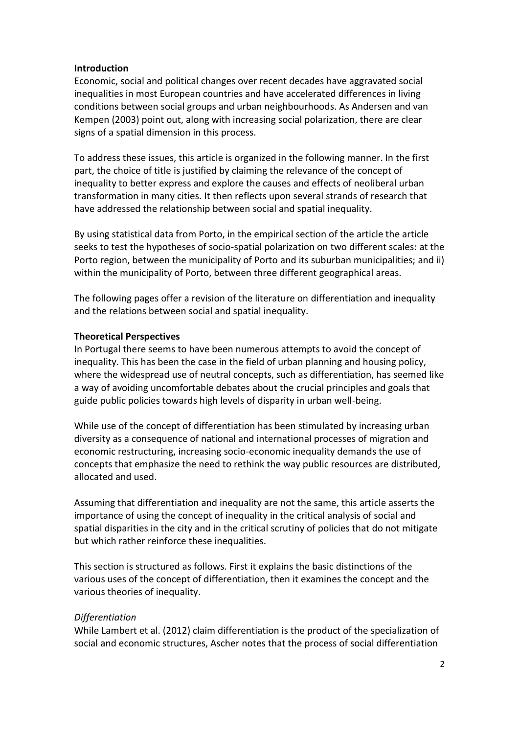#### **Introduction**

Economic, social and political changes over recent decades have aggravated social inequalities in most European countries and have accelerated differences in living conditions between social groups and urban neighbourhoods. As Andersen and van Kempen (2003) point out, along with increasing social polarization, there are clear signs of a spatial dimension in this process.

To address these issues, this article is organized in the following manner. In the first part, the choice of title is justified by claiming the relevance of the concept of inequality to better express and explore the causes and effects of neoliberal urban transformation in many cities. It then reflects upon several strands of research that have addressed the relationship between social and spatial inequality.

By using statistical data from Porto, in the empirical section of the article the article seeks to test the hypotheses of socio-spatial polarization on two different scales: at the Porto region, between the municipality of Porto and its suburban municipalities; and ii) within the municipality of Porto, between three different geographical areas.

The following pages offer a revision of the literature on differentiation and inequality and the relations between social and spatial inequality.

## **Theoretical Perspectives**

In Portugal there seems to have been numerous attempts to avoid the concept of inequality. This has been the case in the field of urban planning and housing policy, where the widespread use of neutral concepts, such as differentiation, has seemed like a way of avoiding uncomfortable debates about the crucial principles and goals that guide public policies towards high levels of disparity in urban well-being.

While use of the concept of differentiation has been stimulated by increasing urban diversity as a consequence of national and international processes of migration and economic restructuring, increasing socio-economic inequality demands the use of concepts that emphasize the need to rethink the way public resources are distributed, allocated and used.

Assuming that differentiation and inequality are not the same, this article asserts the importance of using the concept of inequality in the critical analysis of social and spatial disparities in the city and in the critical scrutiny of policies that do not mitigate but which rather reinforce these inequalities.

This section is structured as follows. First it explains the basic distinctions of the various uses of the concept of differentiation, then it examines the concept and the various theories of inequality.

# *Differentiation*

While Lambert et al. (2012) claim differentiation is the product of the specialization of social and economic structures, Ascher notes that the process of social differentiation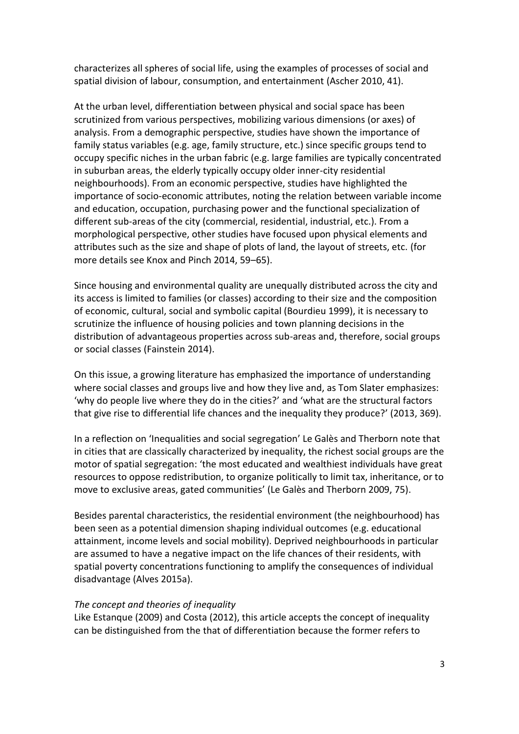characterizes all spheres of social life, using the examples of processes of social and spatial division of labour, consumption, and entertainment (Ascher 2010, 41).

At the urban level, differentiation between physical and social space has been scrutinized from various perspectives, mobilizing various dimensions (or axes) of analysis. From a demographic perspective, studies have shown the importance of family status variables (e.g. age, family structure, etc.) since specific groups tend to occupy specific niches in the urban fabric (e.g. large families are typically concentrated in suburban areas, the elderly typically occupy older inner-city residential neighbourhoods). From an economic perspective, studies have highlighted the importance of socio-economic attributes, noting the relation between variable income and education, occupation, purchasing power and the functional specialization of different sub-areas of the city (commercial, residential, industrial, etc.). From a morphological perspective, other studies have focused upon physical elements and attributes such as the size and shape of plots of land, the layout of streets, etc. (for more details see Knox and Pinch 2014, 59–65).

Since housing and environmental quality are unequally distributed across the city and its access is limited to families (or classes) according to their size and the composition of economic, cultural, social and symbolic capital (Bourdieu 1999), it is necessary to scrutinize the influence of housing policies and town planning decisions in the distribution of advantageous properties across sub-areas and, therefore, social groups or social classes (Fainstein 2014).

On this issue, a growing literature has emphasized the importance of understanding where social classes and groups live and how they live and, as Tom Slater emphasizes: 'why do people live where they do in the cities?' and 'what are the structural factors that give rise to differential life chances and the inequality they produce?' (2013, 369).

In a reflection on 'Inequalities and social segregation' Le Galès and Therborn note that in cities that are classically characterized by inequality, the richest social groups are the motor of spatial segregation: 'the most educated and wealthiest individuals have great resources to oppose redistribution, to organize politically to limit tax, inheritance, or to move to exclusive areas, gated communities' (Le Galès and Therborn 2009, 75).

Besides parental characteristics, the residential environment (the neighbourhood) has been seen as a potential dimension shaping individual outcomes (e.g. educational attainment, income levels and social mobility). Deprived neighbourhoods in particular are assumed to have a negative impact on the life chances of their residents, with spatial poverty concentrations functioning to amplify the consequences of individual disadvantage (Alves 2015a).

#### *The concept and theories of inequality*

Like Estanque (2009) and Costa (2012), this article accepts the concept of inequality can be distinguished from the that of differentiation because the former refers to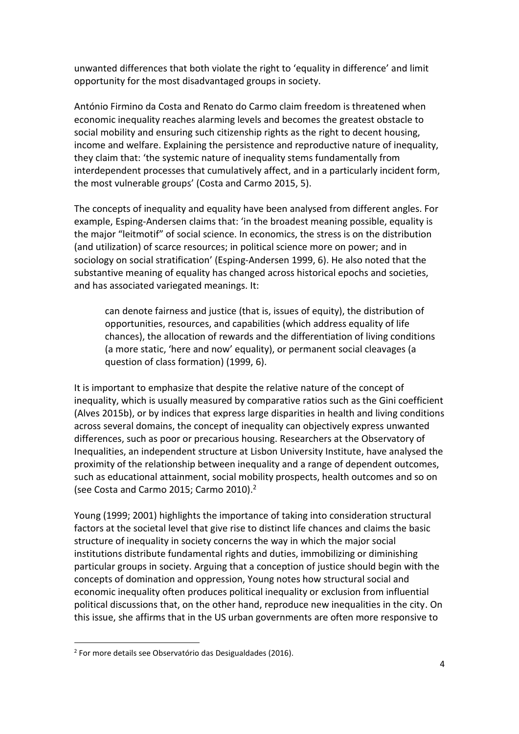unwanted differences that both violate the right to 'equality in difference' and limit opportunity for the most disadvantaged groups in society.

António Firmino da Costa and Renato do Carmo claim freedom is threatened when economic inequality reaches alarming levels and becomes the greatest obstacle to social mobility and ensuring such citizenship rights as the right to decent housing, income and welfare. Explaining the persistence and reproductive nature of inequality, they claim that: 'the systemic nature of inequality stems fundamentally from interdependent processes that cumulatively affect, and in a particularly incident form, the most vulnerable groups' (Costa and Carmo 2015, 5).

The concepts of inequality and equality have been analysed from different angles. For example, Esping-Andersen claims that: 'in the broadest meaning possible, equality is the major "leitmotif" of social science. In economics, the stress is on the distribution (and utilization) of scarce resources; in political science more on power; and in sociology on social stratification' (Esping-Andersen 1999, 6). He also noted that the substantive meaning of equality has changed across historical epochs and societies, and has associated variegated meanings. It:

can denote fairness and justice (that is, issues of equity), the distribution of opportunities, resources, and capabilities (which address equality of life chances), the allocation of rewards and the differentiation of living conditions (a more static, 'here and now' equality), or permanent social cleavages (a question of class formation) (1999, 6).

It is important to emphasize that despite the relative nature of the concept of inequality, which is usually measured by comparative ratios such as the Gini coefficient (Alves 2015b), or by indices that express large disparities in health and living conditions across several domains, the concept of inequality can objectively express unwanted differences, such as poor or precarious housing. Researchers at the Observatory of Inequalities, an independent structure at Lisbon University Institute, have analysed the proximity of the relationship between inequality and a range of dependent outcomes, such as educational attainment, social mobility prospects, health outcomes and so on (see Costa and Carmo 2015; Carmo 2010). 2

Young (1999; 2001) highlights the importance of taking into consideration structural factors at the societal level that give rise to distinct life chances and claims the basic structure of inequality in society concerns the way in which the major social institutions distribute fundamental rights and duties, immobilizing or diminishing particular groups in society. Arguing that a conception of justice should begin with the concepts of domination and oppression, Young notes how structural social and economic inequality often produces political inequality or exclusion from influential political discussions that, on the other hand, reproduce new inequalities in the city. On this issue, she affirms that in the US urban governments are often more responsive to

**.** 

<sup>&</sup>lt;sup>2</sup> For more details see Observatório das Desigualdades (2016).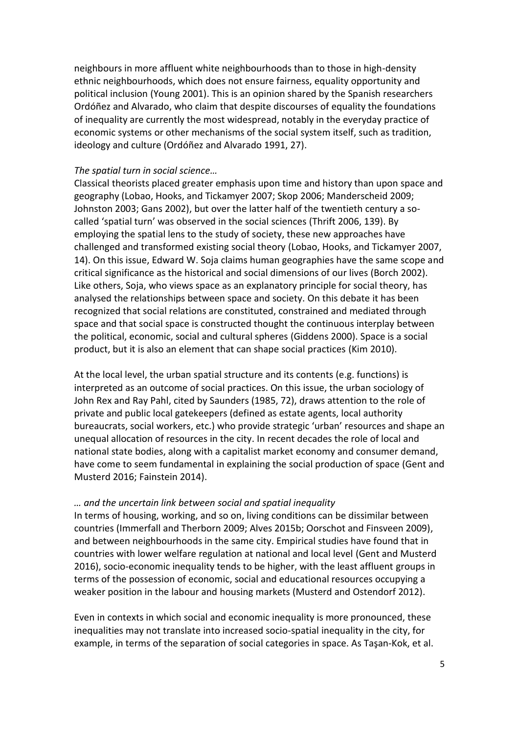neighbours in more affluent white neighbourhoods than to those in high-density ethnic neighbourhoods, which does not ensure fairness, equality opportunity and political inclusion (Young 2001). This is an opinion shared by the Spanish researchers Ordóñez and Alvarado, who claim that despite discourses of equality the foundations of inequality are currently the most widespread, notably in the everyday practice of economic systems or other mechanisms of the social system itself, such as tradition, ideology and culture (Ordóñez and Alvarado 1991, 27).

#### *The spatial turn in social science…*

Classical theorists placed greater emphasis upon time and history than upon space and geography (Lobao, Hooks, and Tickamyer 2007; Skop 2006; Manderscheid 2009; Johnston 2003; Gans 2002), but over the latter half of the twentieth century a socalled 'spatial turn' was observed in the social sciences (Thrift 2006, 139). By employing the spatial lens to the study of society, these new approaches have challenged and transformed existing social theory (Lobao, Hooks, and Tickamyer 2007, 14). On this issue, Edward W. Soja claims human geographies have the same scope and critical significance as the historical and social dimensions of our lives (Borch 2002). Like others, Soja, who views space as an explanatory principle for social theory, has analysed the relationships between space and society. On this debate it has been recognized that social relations are constituted, constrained and mediated through space and that social space is constructed thought the continuous interplay between the political, economic, social and cultural spheres (Giddens 2000). Space is a social product, but it is also an element that can shape social practices (Kim 2010).

At the local level, the urban spatial structure and its contents (e.g. functions) is interpreted as an outcome of social practices. On this issue, the urban sociology of John Rex and Ray Pahl, cited by Saunders (1985, 72), draws attention to the role of private and public local gatekeepers (defined as estate agents, local authority bureaucrats, social workers, etc.) who provide strategic 'urban' resources and shape an unequal allocation of resources in the city. In recent decades the role of local and national state bodies, along with a capitalist market economy and consumer demand, have come to seem fundamental in explaining the social production of space (Gent and Musterd 2016; Fainstein 2014).

#### *… and the uncertain link between social and spatial inequality*

In terms of housing, working, and so on, living conditions can be dissimilar between countries (Immerfall and Therborn 2009; Alves 2015b; Oorschot and Finsveen 2009), and between neighbourhoods in the same city. Empirical studies have found that in countries with lower welfare regulation at national and local level (Gent and Musterd 2016), socio-economic inequality tends to be higher, with the least affluent groups in terms of the possession of economic, social and educational resources occupying a weaker position in the labour and housing markets (Musterd and Ostendorf 2012).

Even in contexts in which social and economic inequality is more pronounced, these inequalities may not translate into increased socio-spatial inequality in the city, for example, in terms of the separation of social categories in space. As Taşan-Kok, et al.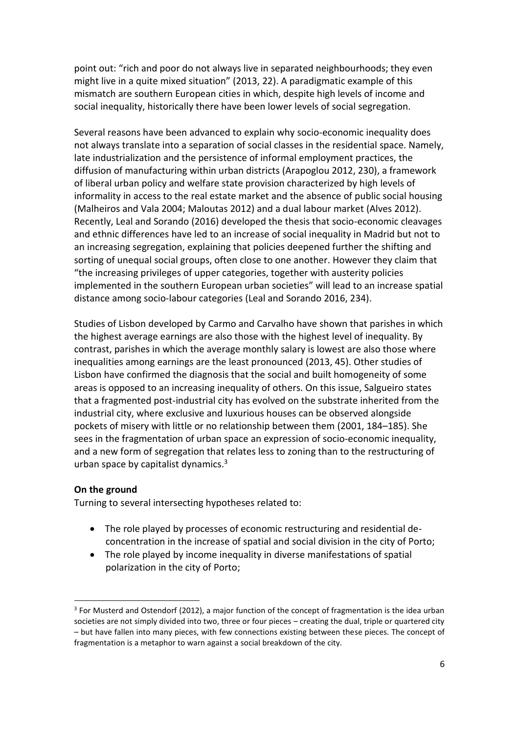point out: "rich and poor do not always live in separated neighbourhoods; they even might live in a quite mixed situation" (2013, 22). A paradigmatic example of this mismatch are southern European cities in which, despite high levels of income and social inequality, historically there have been lower levels of social segregation.

Several reasons have been advanced to explain why socio-economic inequality does not always translate into a separation of social classes in the residential space. Namely, late industrialization and the persistence of informal employment practices, the diffusion of manufacturing within urban districts (Arapoglou 2012, 230), a framework of liberal urban policy and welfare state provision characterized by high levels of informality in access to the real estate market and the absence of public social housing (Malheiros and Vala 2004; Maloutas 2012) and a dual labour market (Alves 2012). Recently, Leal and Sorando (2016) developed the thesis that socio-economic cleavages and ethnic differences have led to an increase of social inequality in Madrid but not to an increasing segregation, explaining that policies deepened further the shifting and sorting of unequal social groups, often close to one another. However they claim that "the increasing privileges of upper categories, together with austerity policies implemented in the southern European urban societies" will lead to an increase spatial distance among socio-labour categories (Leal and Sorando 2016, 234).

Studies of Lisbon developed by Carmo and Carvalho have shown that parishes in which the highest average earnings are also those with the highest level of inequality. By contrast, parishes in which the average monthly salary is lowest are also those where inequalities among earnings are the least pronounced (2013, 45). Other studies of Lisbon have confirmed the diagnosis that the social and built homogeneity of some areas is opposed to an increasing inequality of others. On this issue, Salgueiro states that a fragmented post-industrial city has evolved on the substrate inherited from the industrial city, where exclusive and luxurious houses can be observed alongside pockets of misery with little or no relationship between them (2001, 184–185). She sees in the fragmentation of urban space an expression of socio-economic inequality, and a new form of segregation that relates less to zoning than to the restructuring of urban space by capitalist dynamics. 3

#### **On the ground**

1

Turning to several intersecting hypotheses related to:

- The role played by processes of economic restructuring and residential deconcentration in the increase of spatial and social division in the city of Porto;
- The role played by income inequality in diverse manifestations of spatial polarization in the city of Porto;

<sup>&</sup>lt;sup>3</sup> For Musterd and Ostendorf (2012), a major function of the concept of fragmentation is the idea urban societies are not simply divided into two, three or four pieces – creating the dual, triple or quartered city – but have fallen into many pieces, with few connections existing between these pieces. The concept of fragmentation is a metaphor to warn against a social breakdown of the city.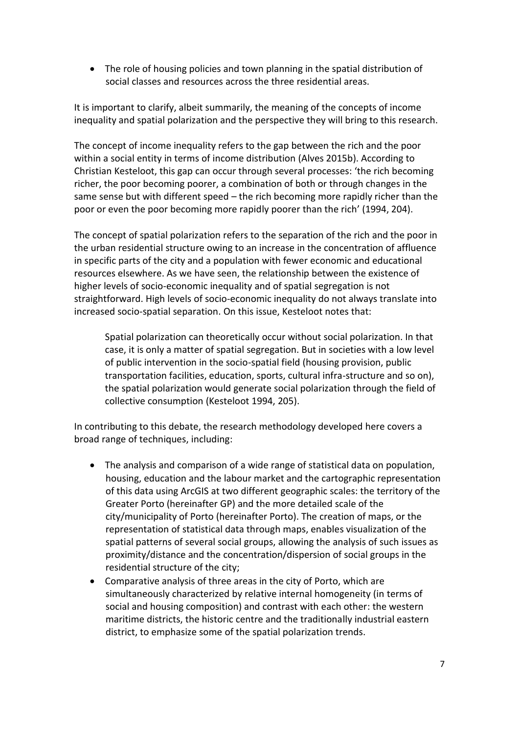The role of housing policies and town planning in the spatial distribution of social classes and resources across the three residential areas.

It is important to clarify, albeit summarily, the meaning of the concepts of income inequality and spatial polarization and the perspective they will bring to this research.

The concept of income inequality refers to the gap between the rich and the poor within a social entity in terms of income distribution (Alves 2015b). According to Christian Kesteloot, this gap can occur through several processes: 'the rich becoming richer, the poor becoming poorer, a combination of both or through changes in the same sense but with different speed – the rich becoming more rapidly richer than the poor or even the poor becoming more rapidly poorer than the rich' (1994, 204).

The concept of spatial polarization refers to the separation of the rich and the poor in the urban residential structure owing to an increase in the concentration of affluence in specific parts of the city and a population with fewer economic and educational resources elsewhere. As we have seen, the relationship between the existence of higher levels of socio-economic inequality and of spatial segregation is not straightforward. High levels of socio-economic inequality do not always translate into increased socio-spatial separation. On this issue, Kesteloot notes that:

Spatial polarization can theoretically occur without social polarization. In that case, it is only a matter of spatial segregation. But in societies with a low level of public intervention in the socio-spatial field (housing provision, public transportation facilities, education, sports, cultural infra-structure and so on), the spatial polarization would generate social polarization through the field of collective consumption (Kesteloot 1994, 205).

In contributing to this debate, the research methodology developed here covers a broad range of techniques, including:

- The analysis and comparison of a wide range of statistical data on population, housing, education and the labour market and the cartographic representation of this data using ArcGIS at two different geographic scales: the territory of the Greater Porto (hereinafter GP) and the more detailed scale of the city/municipality of Porto (hereinafter Porto). The creation of maps, or the representation of statistical data through maps, enables visualization of the spatial patterns of several social groups, allowing the analysis of such issues as proximity/distance and the concentration/dispersion of social groups in the residential structure of the city;
- Comparative analysis of three areas in the city of Porto, which are simultaneously characterized by relative internal homogeneity (in terms of social and housing composition) and contrast with each other: the western maritime districts, the historic centre and the traditionally industrial eastern district, to emphasize some of the spatial polarization trends.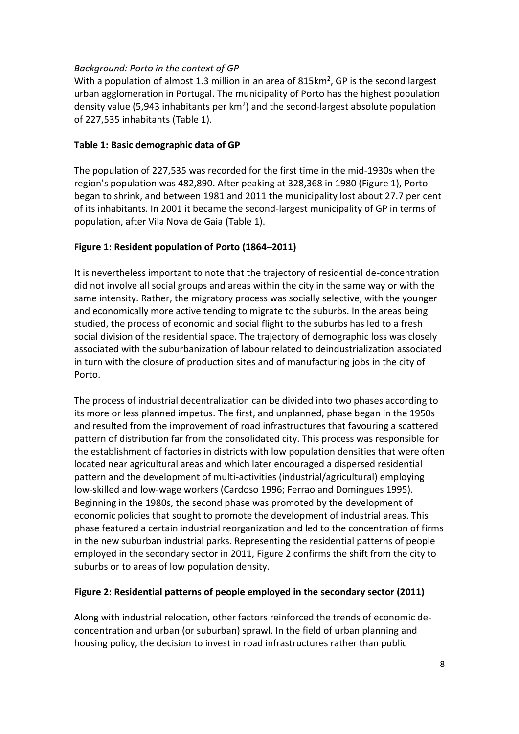### *Background: Porto in the context of GP*

With a population of almost 1.3 million in an area of 815 $km^2$ , GP is the second largest urban agglomeration in Portugal. The municipality of Porto has the highest population density value (5,943 inhabitants per  $km<sup>2</sup>$ ) and the second-largest absolute population of 227,535 inhabitants (Table 1).

### **Table 1: Basic demographic data of GP**

The population of 227,535 was recorded for the first time in the mid-1930s when the region's population was 482,890. After peaking at 328,368 in 1980 (Figure 1), Porto began to shrink, and between 1981 and 2011 the municipality lost about 27.7 per cent of its inhabitants. In 2001 it became the second-largest municipality of GP in terms of population, after Vila Nova de Gaia (Table 1).

## **Figure 1: Resident population of Porto (1864–2011)**

It is nevertheless important to note that the trajectory of residential de-concentration did not involve all social groups and areas within the city in the same way or with the same intensity. Rather, the migratory process was socially selective, with the younger and economically more active tending to migrate to the suburbs. In the areas being studied, the process of economic and social flight to the suburbs has led to a fresh social division of the residential space. The trajectory of demographic loss was closely associated with the suburbanization of labour related to deindustrialization associated in turn with the closure of production sites and of manufacturing jobs in the city of Porto.

The process of industrial decentralization can be divided into two phases according to its more or less planned impetus. The first, and unplanned, phase began in the 1950s and resulted from the improvement of road infrastructures that favouring a scattered pattern of distribution far from the consolidated city. This process was responsible for the establishment of factories in districts with low population densities that were often located near agricultural areas and which later encouraged a dispersed residential pattern and the development of multi-activities (industrial/agricultural) employing low-skilled and low-wage workers (Cardoso 1996; Ferrao and Domingues 1995). Beginning in the 1980s, the second phase was promoted by the development of economic policies that sought to promote the development of industrial areas. This phase featured a certain industrial reorganization and led to the concentration of firms in the new suburban industrial parks. Representing the residential patterns of people employed in the secondary sector in 2011, Figure 2 confirms the shift from the city to suburbs or to areas of low population density.

## **Figure 2: Residential patterns of people employed in the secondary sector (2011)**

Along with industrial relocation, other factors reinforced the trends of economic deconcentration and urban (or suburban) sprawl. In the field of urban planning and housing policy, the decision to invest in road infrastructures rather than public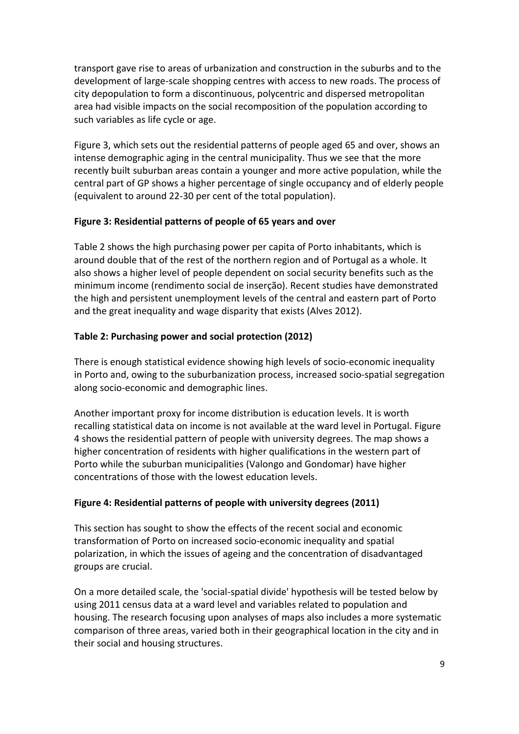transport gave rise to areas of urbanization and construction in the suburbs and to the development of large-scale shopping centres with access to new roads. The process of city depopulation to form a discontinuous, polycentric and dispersed metropolitan area had visible impacts on the social recomposition of the population according to such variables as life cycle or age.

Figure 3, which sets out the residential patterns of people aged 65 and over, shows an intense demographic aging in the central municipality. Thus we see that the more recently built suburban areas contain a younger and more active population, while the central part of GP shows a higher percentage of single occupancy and of elderly people (equivalent to around 22-30 per cent of the total population).

## **Figure 3: Residential patterns of people of 65 years and over**

Table 2 shows the high purchasing power per capita of Porto inhabitants, which is around double that of the rest of the northern region and of Portugal as a whole. It also shows a higher level of people dependent on social security benefits such as the minimum income (rendimento social de inserção). Recent studies have demonstrated the high and persistent unemployment levels of the central and eastern part of Porto and the great inequality and wage disparity that exists (Alves 2012).

## **Table 2: Purchasing power and social protection (2012)**

There is enough statistical evidence showing high levels of socio-economic inequality in Porto and, owing to the suburbanization process, increased socio-spatial segregation along socio-economic and demographic lines.

Another important proxy for income distribution is education levels. It is worth recalling statistical data on income is not available at the ward level in Portugal. Figure 4 shows the residential pattern of people with university degrees. The map shows a higher concentration of residents with higher qualifications in the western part of Porto while the suburban municipalities (Valongo and Gondomar) have higher concentrations of those with the lowest education levels.

## **Figure 4: Residential patterns of people with university degrees (2011)**

This section has sought to show the effects of the recent social and economic transformation of Porto on increased socio-economic inequality and spatial polarization, in which the issues of ageing and the concentration of disadvantaged groups are crucial.

On a more detailed scale, the 'social-spatial divide' hypothesis will be tested below by using 2011 census data at a ward level and variables related to population and housing. The research focusing upon analyses of maps also includes a more systematic comparison of three areas, varied both in their geographical location in the city and in their social and housing structures.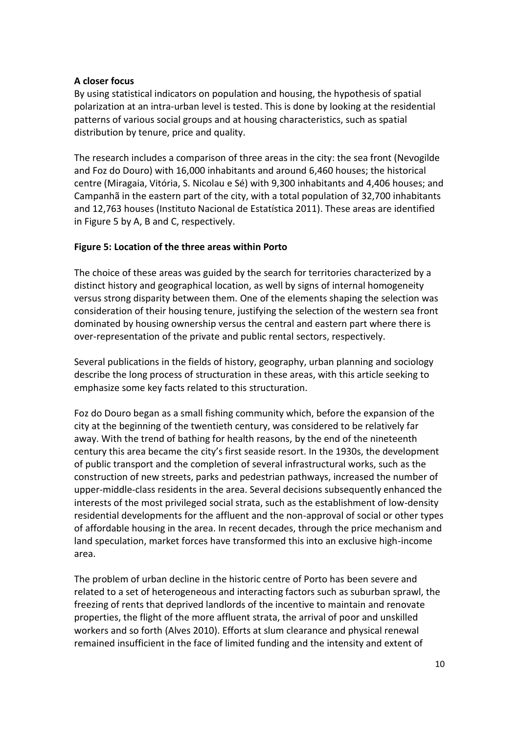#### **A closer focus**

By using statistical indicators on population and housing, the hypothesis of spatial polarization at an intra-urban level is tested. This is done by looking at the residential patterns of various social groups and at housing characteristics, such as spatial distribution by tenure, price and quality.

The research includes a comparison of three areas in the city: the sea front (Nevogilde and Foz do Douro) with 16,000 inhabitants and around 6,460 houses; the historical centre (Miragaia, Vitória, S. Nicolau e Sé) with 9,300 inhabitants and 4,406 houses; and Campanhã in the eastern part of the city, with a total population of 32,700 inhabitants and 12,763 houses (Instituto Nacional de Estatística 2011). These areas are identified in Figure 5 by A, B and C, respectively.

### **Figure 5: Location of the three areas within Porto**

The choice of these areas was guided by the search for territories characterized by a distinct history and geographical location, as well by signs of internal homogeneity versus strong disparity between them. One of the elements shaping the selection was consideration of their housing tenure, justifying the selection of the western sea front dominated by housing ownership versus the central and eastern part where there is over-representation of the private and public rental sectors, respectively.

Several publications in the fields of history, geography, urban planning and sociology describe the long process of structuration in these areas, with this article seeking to emphasize some key facts related to this structuration.

Foz do Douro began as a small fishing community which, before the expansion of the city at the beginning of the twentieth century, was considered to be relatively far away. With the trend of bathing for health reasons, by the end of the nineteenth century this area became the city's first seaside resort. In the 1930s, the development of public transport and the completion of several infrastructural works, such as the construction of new streets, parks and pedestrian pathways, increased the number of upper-middle-class residents in the area. Several decisions subsequently enhanced the interests of the most privileged social strata, such as the establishment of low-density residential developments for the affluent and the non-approval of social or other types of affordable housing in the area. In recent decades, through the price mechanism and land speculation, market forces have transformed this into an exclusive high-income area.

The problem of urban decline in the historic centre of Porto has been severe and related to a set of heterogeneous and interacting factors such as suburban sprawl, the freezing of rents that deprived landlords of the incentive to maintain and renovate properties, the flight of the more affluent strata, the arrival of poor and unskilled workers and so forth (Alves 2010). Efforts at slum clearance and physical renewal remained insufficient in the face of limited funding and the intensity and extent of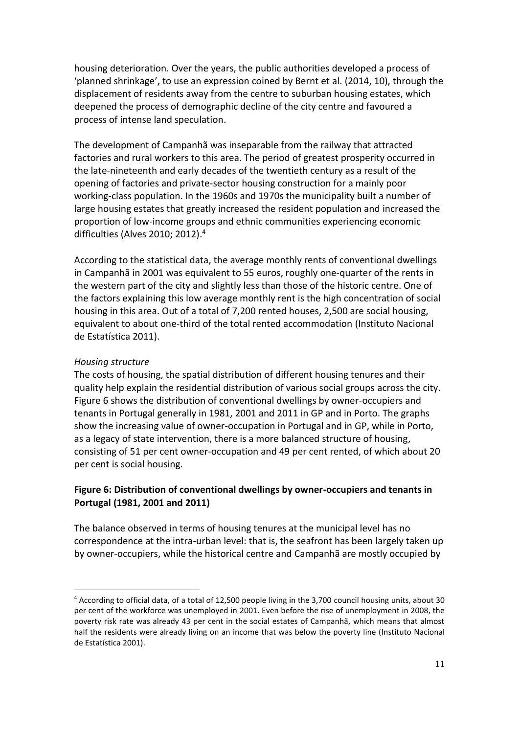housing deterioration. Over the years, the public authorities developed a process of 'planned shrinkage', to use an expression coined by Bernt et al. (2014, 10), through the displacement of residents away from the centre to suburban housing estates, which deepened the process of demographic decline of the city centre and favoured a process of intense land speculation.

The development of Campanhã was inseparable from the railway that attracted factories and rural workers to this area. The period of greatest prosperity occurred in the late-nineteenth and early decades of the twentieth century as a result of the opening of factories and private-sector housing construction for a mainly poor working-class population. In the 1960s and 1970s the municipality built a number of large housing estates that greatly increased the resident population and increased the proportion of low-income groups and ethnic communities experiencing economic difficulties (Alves 2010; 2012). 4

According to the statistical data, the average monthly rents of conventional dwellings in Campanhã in 2001 was equivalent to 55 euros, roughly one-quarter of the rents in the western part of the city and slightly less than those of the historic centre. One of the factors explaining this low average monthly rent is the high concentration of social housing in this area. Out of a total of 7,200 rented houses, 2,500 are social housing, equivalent to about one-third of the total rented accommodation (Instituto Nacional de Estatística 2011).

#### *Housing structure*

**.** 

The costs of housing, the spatial distribution of different housing tenures and their quality help explain the residential distribution of various social groups across the city. Figure 6 shows the distribution of conventional dwellings by owner-occupiers and tenants in Portugal generally in 1981, 2001 and 2011 in GP and in Porto. The graphs show the increasing value of owner-occupation in Portugal and in GP, while in Porto, as a legacy of state intervention, there is a more balanced structure of housing, consisting of 51 per cent owner-occupation and 49 per cent rented, of which about 20 per cent is social housing.

### **Figure 6: Distribution of conventional dwellings by owner-occupiers and tenants in Portugal (1981, 2001 and 2011)**

The balance observed in terms of housing tenures at the municipal level has no correspondence at the intra-urban level: that is, the seafront has been largely taken up by owner-occupiers, while the historical centre and Campanhã are mostly occupied by

<sup>4</sup> According to official data, of a total of 12,500 people living in the 3,700 council housing units, about 30 per cent of the workforce was unemployed in 2001. Even before the rise of unemployment in 2008, the poverty risk rate was already 43 per cent in the social estates of Campanhã, which means that almost half the residents were already living on an income that was below the poverty line (Instituto Nacional de Estatística 2001).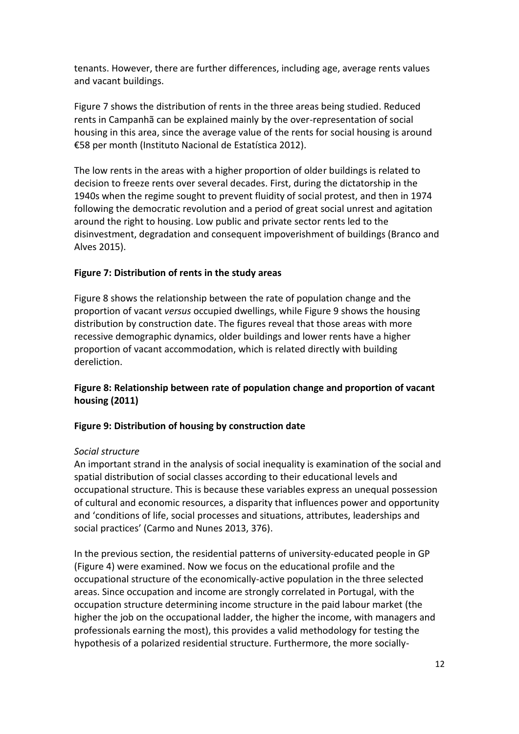tenants. However, there are further differences, including age, average rents values and vacant buildings.

Figure 7 shows the distribution of rents in the three areas being studied. Reduced rents in Campanhã can be explained mainly by the over-representation of social housing in this area, since the average value of the rents for social housing is around €58 per month (Instituto Nacional de Estatística 2012).

The low rents in the areas with a higher proportion of older buildings is related to decision to freeze rents over several decades. First, during the dictatorship in the 1940s when the regime sought to prevent fluidity of social protest, and then in 1974 following the democratic revolution and a period of great social unrest and agitation around the right to housing. Low public and private sector rents led to the disinvestment, degradation and consequent impoverishment of buildings (Branco and Alves 2015).

## **Figure 7: Distribution of rents in the study areas**

Figure 8 shows the relationship between the rate of population change and the proportion of vacant *versus* occupied dwellings, while Figure 9 shows the housing distribution by construction date. The figures reveal that those areas with more recessive demographic dynamics, older buildings and lower rents have a higher proportion of vacant accommodation, which is related directly with building dereliction.

# **Figure 8: Relationship between rate of population change and proportion of vacant housing (2011)**

## **Figure 9: Distribution of housing by construction date**

#### *Social structure*

An important strand in the analysis of social inequality is examination of the social and spatial distribution of social classes according to their educational levels and occupational structure. This is because these variables express an unequal possession of cultural and economic resources, a disparity that influences power and opportunity and 'conditions of life, social processes and situations, attributes, leaderships and social practices' (Carmo and Nunes 2013, 376).

In the previous section, the residential patterns of university-educated people in GP (Figure 4) were examined. Now we focus on the educational profile and the occupational structure of the economically-active population in the three selected areas. Since occupation and income are strongly correlated in Portugal, with the occupation structure determining income structure in the paid labour market (the higher the job on the occupational ladder, the higher the income, with managers and professionals earning the most), this provides a valid methodology for testing the hypothesis of a polarized residential structure. Furthermore, the more socially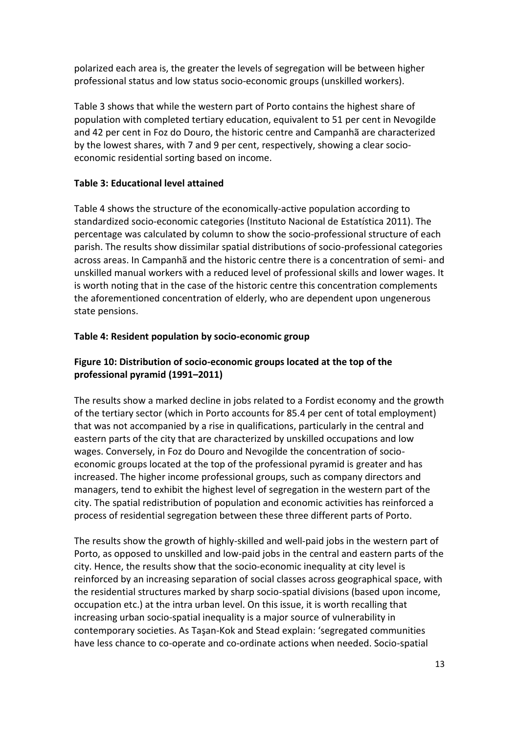polarized each area is, the greater the levels of segregation will be between higher professional status and low status socio-economic groups (unskilled workers).

Table 3 shows that while the western part of Porto contains the highest share of population with completed tertiary education, equivalent to 51 per cent in Nevogilde and 42 per cent in Foz do Douro, the historic centre and Campanhã are characterized by the lowest shares, with 7 and 9 per cent, respectively, showing a clear socioeconomic residential sorting based on income.

### **Table 3: Educational level attained**

Table 4 shows the structure of the economically-active population according to standardized socio-economic categories (Instituto Nacional de Estatística 2011). The percentage was calculated by column to show the socio-professional structure of each parish. The results show dissimilar spatial distributions of socio-professional categories across areas. In Campanhã and the historic centre there is a concentration of semi- and unskilled manual workers with a reduced level of professional skills and lower wages. It is worth noting that in the case of the historic centre this concentration complements the aforementioned concentration of elderly, who are dependent upon ungenerous state pensions.

### **Table 4: Resident population by socio-economic group**

# **Figure 10: Distribution of socio-economic groups located at the top of the professional pyramid (1991–2011)**

The results show a marked decline in jobs related to a Fordist economy and the growth of the tertiary sector (which in Porto accounts for 85.4 per cent of total employment) that was not accompanied by a rise in qualifications, particularly in the central and eastern parts of the city that are characterized by unskilled occupations and low wages. Conversely, in Foz do Douro and Nevogilde the concentration of socioeconomic groups located at the top of the professional pyramid is greater and has increased. The higher income professional groups, such as company directors and managers, tend to exhibit the highest level of segregation in the western part of the city. The spatial redistribution of population and economic activities has reinforced a process of residential segregation between these three different parts of Porto.

The results show the growth of highly-skilled and well-paid jobs in the western part of Porto, as opposed to unskilled and low-paid jobs in the central and eastern parts of the city. Hence, the results show that the socio-economic inequality at city level is reinforced by an increasing separation of social classes across geographical space, with the residential structures marked by sharp socio-spatial divisions (based upon income, occupation etc.) at the intra urban level. On this issue, it is worth recalling that increasing urban socio-spatial inequality is a major source of vulnerability in contemporary societies. As Taşan-Kok and Stead explain: 'segregated communities have less chance to co-operate and co-ordinate actions when needed. Socio-spatial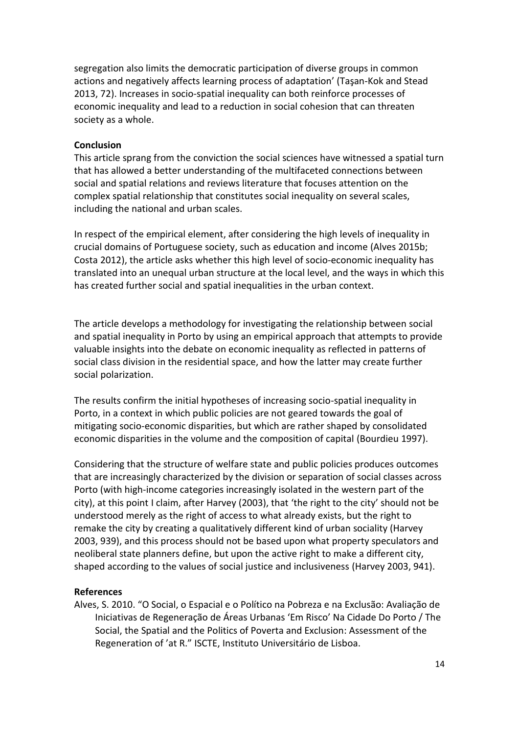segregation also limits the democratic participation of diverse groups in common actions and negatively affects learning process of adaptation' (Taşan-Kok and Stead 2013, 72). Increases in socio-spatial inequality can both reinforce processes of economic inequality and lead to a reduction in social cohesion that can threaten society as a whole.

#### **Conclusion**

This article sprang from the conviction the social sciences have witnessed a spatial turn that has allowed a better understanding of the multifaceted connections between social and spatial relations and reviews literature that focuses attention on the complex spatial relationship that constitutes social inequality on several scales, including the national and urban scales.

In respect of the empirical element, after considering the high levels of inequality in crucial domains of Portuguese society, such as education and income (Alves 2015b; Costa 2012), the article asks whether this high level of socio-economic inequality has translated into an unequal urban structure at the local level, and the ways in which this has created further social and spatial inequalities in the urban context.

The article develops a methodology for investigating the relationship between social and spatial inequality in Porto by using an empirical approach that attempts to provide valuable insights into the debate on economic inequality as reflected in patterns of social class division in the residential space, and how the latter may create further social polarization.

The results confirm the initial hypotheses of increasing socio-spatial inequality in Porto, in a context in which public policies are not geared towards the goal of mitigating socio-economic disparities, but which are rather shaped by consolidated economic disparities in the volume and the composition of capital (Bourdieu 1997).

Considering that the structure of welfare state and public policies produces outcomes that are increasingly characterized by the division or separation of social classes across Porto (with high-income categories increasingly isolated in the western part of the city), at this point I claim, after Harvey (2003), that 'the right to the city' should not be understood merely as the right of access to what already exists, but the right to remake the city by creating a qualitatively different kind of urban sociality (Harvey 2003, 939), and this process should not be based upon what property speculators and neoliberal state planners define, but upon the active right to make a different city, shaped according to the values of social justice and inclusiveness (Harvey 2003, 941).

#### **References**

Alves, S. 2010. "O Social, o Espacial e o Político na Pobreza e na Exclusão: Avaliação de Iniciativas de Regeneração de Áreas Urbanas 'Em Risco' Na Cidade Do Porto / The Social, the Spatial and the Politics of Poverta and Exclusion: Assessment of the Regeneration of 'at R." ISCTE, Instituto Universitário de Lisboa.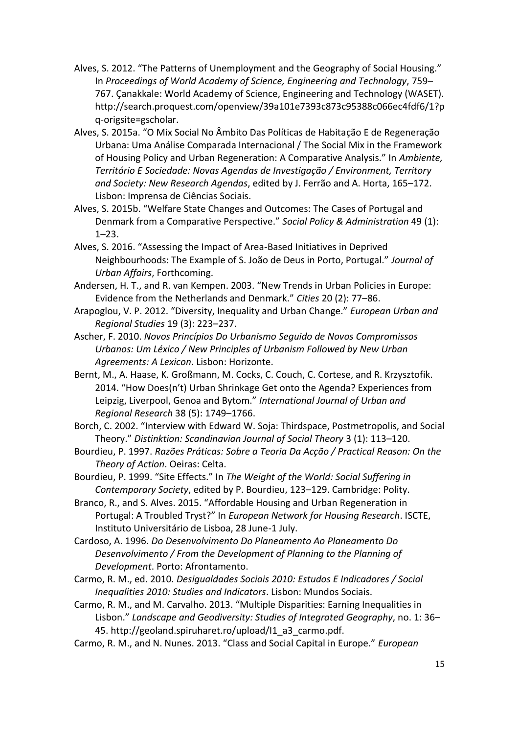- Alves, S. 2012. "The Patterns of Unemployment and the Geography of Social Housing." In *Proceedings of World Academy of Science, Engineering and Technology*, 759– 767. Çanakkale: World Academy of Science, Engineering and Technology (WASET). http://search.proquest.com/openview/39a101e7393c873c95388c066ec4fdf6/1?p q-origsite=gscholar.
- Alves, S. 2015a. "O Mix Social No Âmbito Das Políticas de Habitação E de Regeneração Urbana: Uma Análise Comparada Internacional / The Social Mix in the Framework of Housing Policy and Urban Regeneration: A Comparative Analysis." In *Ambiente, Território E Sociedade: Novas Agendas de Investigação / Environment, Territory and Society: New Research Agendas*, edited by J. Ferrão and A. Horta, 165–172. Lisbon: Imprensa de Ciências Sociais.
- Alves, S. 2015b. "Welfare State Changes and Outcomes: The Cases of Portugal and Denmark from a Comparative Perspective." *Social Policy & Administration* 49 (1): 1–23.
- Alves, S. 2016. "Assessing the Impact of Area-Based Initiatives in Deprived Neighbourhoods: The Example of S. João de Deus in Porto, Portugal." *Journal of Urban Affairs*, Forthcoming.
- Andersen, H. T., and R. van Kempen. 2003. "New Trends in Urban Policies in Europe: Evidence from the Netherlands and Denmark." *Cities* 20 (2): 77–86.
- Arapoglou, V. P. 2012. "Diversity, Inequality and Urban Change." *European Urban and Regional Studies* 19 (3): 223–237.
- Ascher, F. 2010. *Novos Princípios Do Urbanismo Seguido de Novos Compromissos Urbanos: Um Léxico / New Principles of Urbanism Followed by New Urban Agreements: A Lexicon*. Lisbon: Horizonte.
- Bernt, M., A. Haase, K. Großmann, M. Cocks, C. Couch, C. Cortese, and R. Krzysztofik. 2014. "How Does(n't) Urban Shrinkage Get onto the Agenda? Experiences from Leipzig, Liverpool, Genoa and Bytom." *International Journal of Urban and Regional Research* 38 (5): 1749–1766.
- Borch, C. 2002. "Interview with Edward W. Soja: Thirdspace, Postmetropolis, and Social Theory." *Distinktion: Scandinavian Journal of Social Theory* 3 (1): 113–120.
- Bourdieu, P. 1997. *Razões Práticas: Sobre a Teoria Da Acção / Practical Reason: On the Theory of Action*. Oeiras: Celta.
- Bourdieu, P. 1999. "Site Effects." In *The Weight of the World: Social Suffering in Contemporary Society*, edited by P. Bourdieu, 123–129. Cambridge: Polity.
- Branco, R., and S. Alves. 2015. "Affordable Housing and Urban Regeneration in Portugal: A Troubled Tryst?" In *European Network for Housing Research*. ISCTE, Instituto Universitário de Lisboa, 28 June-1 July.
- Cardoso, A. 1996. *Do Desenvolvimento Do Planeamento Ao Planeamento Do Desenvolvimento / From the Development of Planning to the Planning of Development*. Porto: Afrontamento.
- Carmo, R. M., ed. 2010. *Desigualdades Sociais 2010: Estudos E Indicadores / Social Inequalities 2010: Studies and Indicators*. Lisbon: Mundos Sociais.
- Carmo, R. M., and M. Carvalho. 2013. "Multiple Disparities: Earning Inequalities in Lisbon." *Landscape and Geodiversity: Studies of Integrated Geography*, no. 1: 36– 45. http://geoland.spiruharet.ro/upload/I1\_a3\_carmo.pdf.
- Carmo, R. M., and N. Nunes. 2013. "Class and Social Capital in Europe." *European*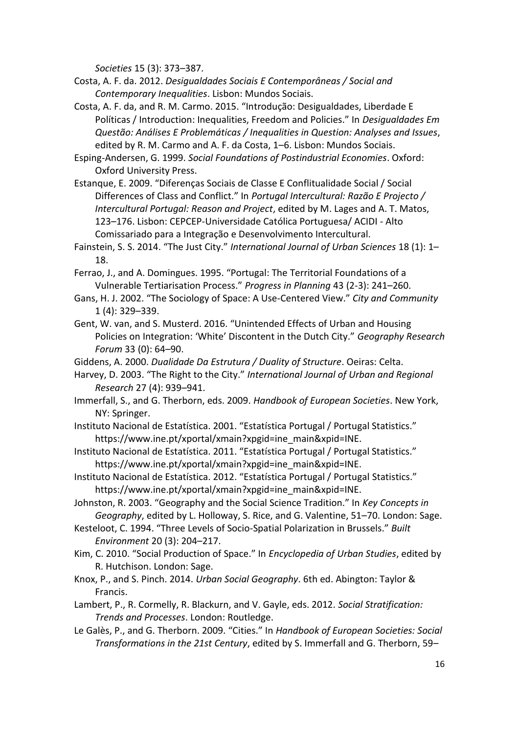*Societies* 15 (3): 373–387.

- Costa, A. F. da. 2012. *Desigualdades Sociais E Contemporâneas / Social and Contemporary Inequalities*. Lisbon: Mundos Sociais.
- Costa, A. F. da, and R. M. Carmo. 2015. "Introdução: Desigualdades, Liberdade E Políticas / Introduction: Inequalities, Freedom and Policies." In *Desigualdades Em Questão: Análises E Problemáticas / Inequalities in Question: Analyses and Issues*, edited by R. M. Carmo and A. F. da Costa, 1–6. Lisbon: Mundos Sociais.
- Esping-Andersen, G. 1999. *Social Foundations of Postindustrial Economies*. Oxford: Oxford University Press.
- Estanque, E. 2009. "Diferenças Sociais de Classe E Conflitualidade Social / Social Differences of Class and Conflict." In *Portugal Intercultural: Razão E Projecto / Intercultural Portugal: Reason and Project*, edited by M. Lages and A. T. Matos, 123–176. Lisbon: CEPCEP-Universidade Católica Portuguesa/ ACIDI - Alto Comissariado para a Integração e Desenvolvimento Intercultural.
- Fainstein, S. S. 2014. "The Just City." *International Journal of Urban Sciences* 18 (1): 1– 18.
- Ferrao, J., and A. Domingues. 1995. "Portugal: The Territorial Foundations of a Vulnerable Tertiarisation Process." *Progress in Planning* 43 (2-3): 241–260.
- Gans, H. J. 2002. "The Sociology of Space: A Use-Centered View." *City and Community* 1 (4): 329–339.
- Gent, W. van, and S. Musterd. 2016. "Unintended Effects of Urban and Housing Policies on Integration: 'White' Discontent in the Dutch City." *Geography Research Forum* 33 (0): 64–90.
- Giddens, A. 2000. *Dualidade Da Estrutura / Duality of Structure*. Oeiras: Celta.

Harvey, D. 2003. "The Right to the City." *International Journal of Urban and Regional Research* 27 (4): 939–941.

- Immerfall, S., and G. Therborn, eds. 2009. *Handbook of European Societies*. New York, NY: Springer.
- Instituto Nacional de Estatística. 2001. "Estatística Portugal / Portugal Statistics." https://www.ine.pt/xportal/xmain?xpgid=ine\_main&xpid=INE.
- Instituto Nacional de Estatística. 2011. "Estatística Portugal / Portugal Statistics." https://www.ine.pt/xportal/xmain?xpgid=ine\_main&xpid=INE.
- Instituto Nacional de Estatística. 2012. "Estatística Portugal / Portugal Statistics." https://www.ine.pt/xportal/xmain?xpgid=ine\_main&xpid=INE.
- Johnston, R. 2003. "Geography and the Social Science Tradition." In *Key Concepts in Geography*, edited by L. Holloway, S. Rice, and G. Valentine, 51–70. London: Sage.
- Kesteloot, C. 1994. "Three Levels of Socio-Spatial Polarization in Brussels." *Built Environment* 20 (3): 204–217.
- Kim, C. 2010. "Social Production of Space." In *Encyclopedia of Urban Studies*, edited by R. Hutchison. London: Sage.
- Knox, P., and S. Pinch. 2014. *Urban Social Geography*. 6th ed. Abington: Taylor & Francis.
- Lambert, P., R. Cormelly, R. Blackurn, and V. Gayle, eds. 2012. *Social Stratification: Trends and Processes*. London: Routledge.
- Le Galès, P., and G. Therborn. 2009. "Cities." In *Handbook of European Societies: Social Transformations in the 21st Century*, edited by S. Immerfall and G. Therborn, 59–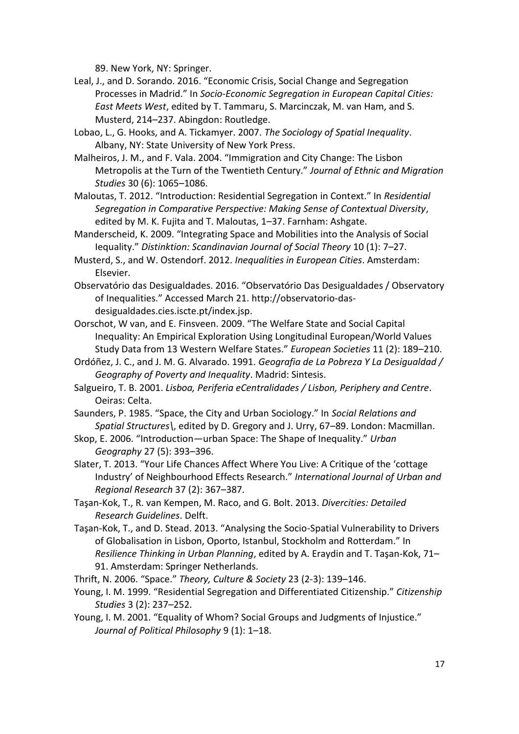89. New York, NY: Springer.

- Leal, J., and D. Sorando. 2016. "Economic Crisis, Social Change and Segregation Processes in Madrid." In *Socio-Economic Segregation in European Capital Cities: East Meets West*, edited by T. Tammaru, S. Marcinczak, M. van Ham, and S. Musterd, 214–237. Abingdon: Routledge.
- Lobao, L., G. Hooks, and A. Tickamyer. 2007. *The Sociology of Spatial Inequality*. Albany, NY: State University of New York Press.
- Malheiros, J. M., and F. Vala. 2004. "Immigration and City Change: The Lisbon Metropolis at the Turn of the Twentieth Century." *Journal of Ethnic and Migration Studies* 30 (6): 1065–1086.
- Maloutas, T. 2012. "Introduction: Residential Segregation in Context." In *Residential Segregation in Comparative Perspective: Making Sense of Contextual Diversity*, edited by M. K. Fujita and T. Maloutas, 1–37. Farnham: Ashgate.
- Manderscheid, K. 2009. "Integrating Space and Mobilities into the Analysis of Social Iequality." *Distinktion: Scandinavian Journal of Social Theory* 10 (1): 7–27.
- Musterd, S., and W. Ostendorf. 2012. *Inequalities in European Cities*. Amsterdam: Elsevier.
- Observatório das Desigualdades. 2016. "Observatório Das Desigualdades / Observatory of Inequalities." Accessed March 21. http://observatorio-dasdesigualdades.cies.iscte.pt/index.jsp.
- Oorschot, W van, and E. Finsveen. 2009. "The Welfare State and Social Capital Inequality: An Empirical Exploration Using Longitudinal European/World Values Study Data from 13 Western Welfare States." *European Societies* 11 (2): 189–210.
- Ordóñez, J. C., and J. M. G. Alvarado. 1991. *Geografia de La Pobreza Y La Desigualdad / Geography of Poverty and Inequality*. Madrid: Sintesis.
- Salgueiro, T. B. 2001. *Lisboa, Periferia eCentralidades / Lisbon, Periphery and Centre*. Oeiras: Celta.
- Saunders, P. 1985. "Space, the City and Urban Sociology." In *Social Relations and Spatial Structures\*, edited by D. Gregory and J. Urry, 67–89. London: Macmillan.
- Skop, E. 2006. "Introduction—urban Space: The Shape of Inequality." *Urban Geography* 27 (5): 393–396.
- Slater, T. 2013. "Your Life Chances Affect Where You Live: A Critique of the 'cottage Industry' of Neighbourhood Effects Research." *International Journal of Urban and Regional Research* 37 (2): 367–387.
- Taşan-Kok, T., R. van Kempen, M. Raco, and G. Bolt. 2013. *Divercities: Detailed Research Guidelines*. Delft.
- Taşan-Kok, T., and D. Stead. 2013. "Analysing the Socio-Spatial Vulnerability to Drivers of Globalisation in Lisbon, Oporto, Istanbul, Stockholm and Rotterdam." In *Resilience Thinking in Urban Planning*, edited by A. Eraydin and T. Taşan-Kok, 71– 91. Amsterdam: Springer Netherlands.
- Thrift, N. 2006. "Space." *Theory, Culture & Society* 23 (2-3): 139–146.
- Young, I. M. 1999. "Residential Segregation and Differentiated Citizenship." *Citizenship Studies* 3 (2): 237–252.
- Young, I. M. 2001. "Equality of Whom? Social Groups and Judgments of Injustice." *Journal of Political Philosophy* 9 (1): 1–18.